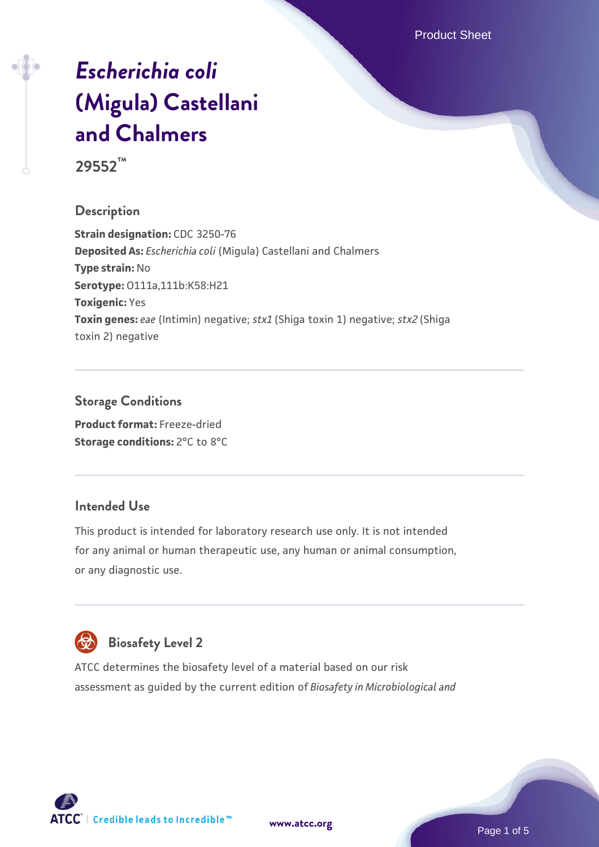Product Sheet

# *[Escherichia coli](https://www.atcc.org/products/29552)* **[\(Migula\) Castellani](https://www.atcc.org/products/29552) [and Chalmers](https://www.atcc.org/products/29552)**

**29552™**

### **Description**

**Strain designation:** CDC 3250-76 **Deposited As:** *Escherichia coli* (Migula) Castellani and Chalmers **Type strain:** No **Serotype:** O111a,111b:K58:H21 **Toxigenic:** Yes **Toxin genes:** *eae* (Intimin) negative; *stx1* (Shiga toxin 1) negative; *stx2* (Shiga toxin 2) negative

#### **Storage Conditions**

**Product format:** Freeze-dried **Storage conditions:** 2°C to 8°C

#### **Intended Use**

This product is intended for laboratory research use only. It is not intended for any animal or human therapeutic use, any human or animal consumption, or any diagnostic use.



## **Biosafety Level 2**

ATCC determines the biosafety level of a material based on our risk assessment as guided by the current edition of *Biosafety in Microbiological and*

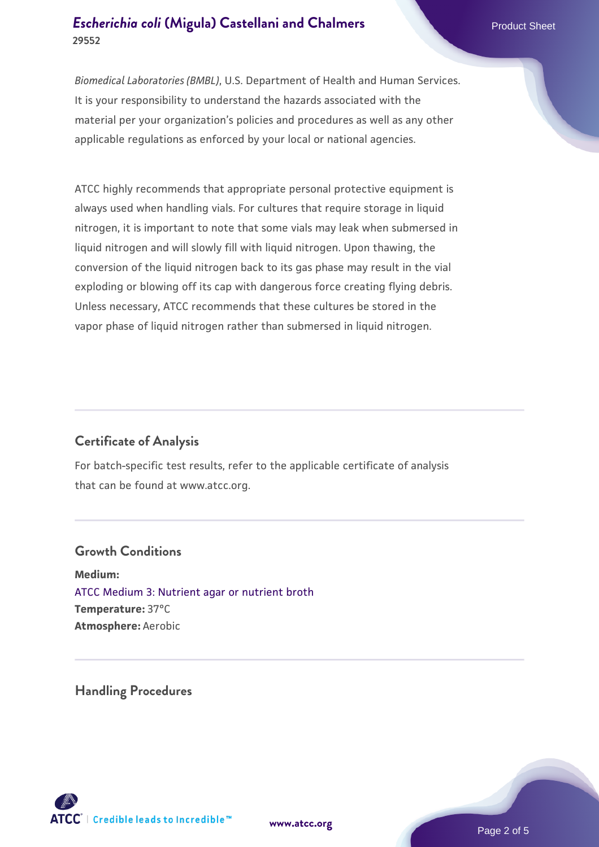### **[Escherichia coli](https://www.atcc.org/products/29552) [\(Migula\) Castellani and Chalmers](https://www.atcc.org/products/29552)** Product Sheet **29552**

*Biomedical Laboratories (BMBL)*, U.S. Department of Health and Human Services. It is your responsibility to understand the hazards associated with the material per your organization's policies and procedures as well as any other applicable regulations as enforced by your local or national agencies.

ATCC highly recommends that appropriate personal protective equipment is always used when handling vials. For cultures that require storage in liquid nitrogen, it is important to note that some vials may leak when submersed in liquid nitrogen and will slowly fill with liquid nitrogen. Upon thawing, the conversion of the liquid nitrogen back to its gas phase may result in the vial exploding or blowing off its cap with dangerous force creating flying debris. Unless necessary, ATCC recommends that these cultures be stored in the vapor phase of liquid nitrogen rather than submersed in liquid nitrogen.

## **Certificate of Analysis**

For batch-specific test results, refer to the applicable certificate of analysis that can be found at www.atcc.org.

#### **Growth Conditions**

**Medium:**  [ATCC Medium 3: Nutrient agar or nutrient broth](https://www.atcc.org/-/media/product-assets/documents/microbial-media-formulations/3/atcc-medium-3.pdf?rev=7510837507e64d849c62a46b5b2197a1) **Temperature:** 37°C **Atmosphere:** Aerobic

**Handling Procedures**



**[www.atcc.org](http://www.atcc.org)**

Page 2 of 5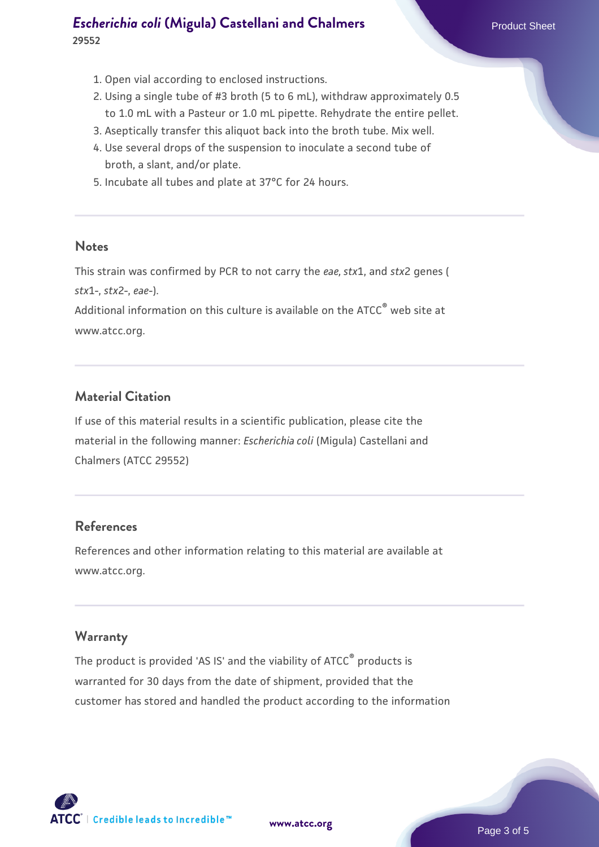## **[Escherichia coli](https://www.atcc.org/products/29552) [\(Migula\) Castellani and Chalmers](https://www.atcc.org/products/29552)** Product Sheet **29552**

- 1. Open vial according to enclosed instructions.
- 2. Using a single tube of #3 broth (5 to 6 mL), withdraw approximately 0.5 to 1.0 mL with a Pasteur or 1.0 mL pipette. Rehydrate the entire pellet.
- 3. Aseptically transfer this aliquot back into the broth tube. Mix well.
- 4. Use several drops of the suspension to inoculate a second tube of broth, a slant, and/or plate.
- 5. Incubate all tubes and plate at 37°C for 24 hours.

#### **Notes**

This strain was confirmed by PCR to not carry the *eae, stx*1, and *stx*2 genes ( *stx*1-, *stx*2-, *eae*-).

Additional information on this culture is available on the ATCC® web site at www.atcc.org.

## **Material Citation**

If use of this material results in a scientific publication, please cite the material in the following manner: *Escherichia coli* (Migula) Castellani and Chalmers (ATCC 29552)

#### **References**

References and other information relating to this material are available at www.atcc.org.

#### **Warranty**

The product is provided 'AS IS' and the viability of ATCC® products is warranted for 30 days from the date of shipment, provided that the customer has stored and handled the product according to the information

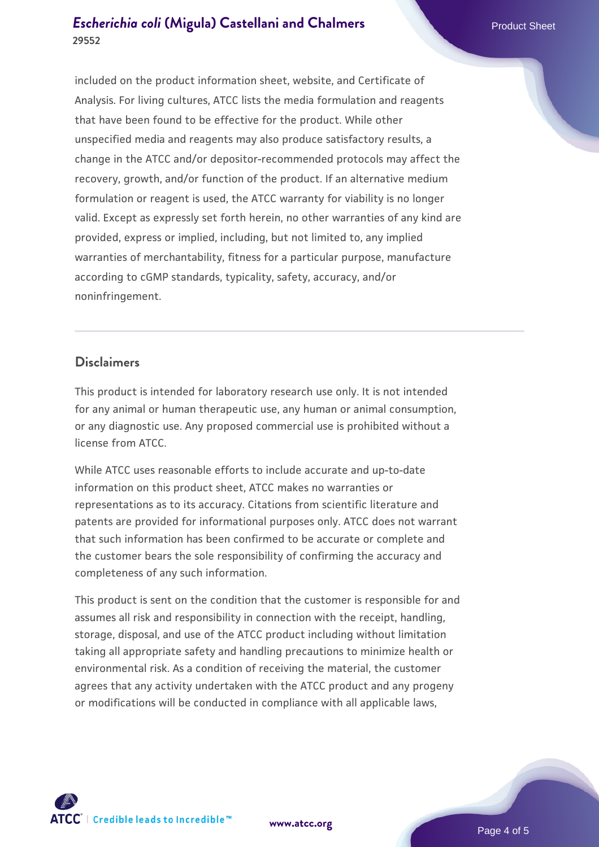## **[Escherichia coli](https://www.atcc.org/products/29552) [\(Migula\) Castellani and Chalmers](https://www.atcc.org/products/29552)** Product Sheet **29552**

included on the product information sheet, website, and Certificate of Analysis. For living cultures, ATCC lists the media formulation and reagents that have been found to be effective for the product. While other unspecified media and reagents may also produce satisfactory results, a change in the ATCC and/or depositor-recommended protocols may affect the recovery, growth, and/or function of the product. If an alternative medium formulation or reagent is used, the ATCC warranty for viability is no longer valid. Except as expressly set forth herein, no other warranties of any kind are provided, express or implied, including, but not limited to, any implied warranties of merchantability, fitness for a particular purpose, manufacture according to cGMP standards, typicality, safety, accuracy, and/or noninfringement.

#### **Disclaimers**

This product is intended for laboratory research use only. It is not intended for any animal or human therapeutic use, any human or animal consumption, or any diagnostic use. Any proposed commercial use is prohibited without a license from ATCC.

While ATCC uses reasonable efforts to include accurate and up-to-date information on this product sheet, ATCC makes no warranties or representations as to its accuracy. Citations from scientific literature and patents are provided for informational purposes only. ATCC does not warrant that such information has been confirmed to be accurate or complete and the customer bears the sole responsibility of confirming the accuracy and completeness of any such information.

This product is sent on the condition that the customer is responsible for and assumes all risk and responsibility in connection with the receipt, handling, storage, disposal, and use of the ATCC product including without limitation taking all appropriate safety and handling precautions to minimize health or environmental risk. As a condition of receiving the material, the customer agrees that any activity undertaken with the ATCC product and any progeny or modifications will be conducted in compliance with all applicable laws,



**[www.atcc.org](http://www.atcc.org)**

Page 4 of 5